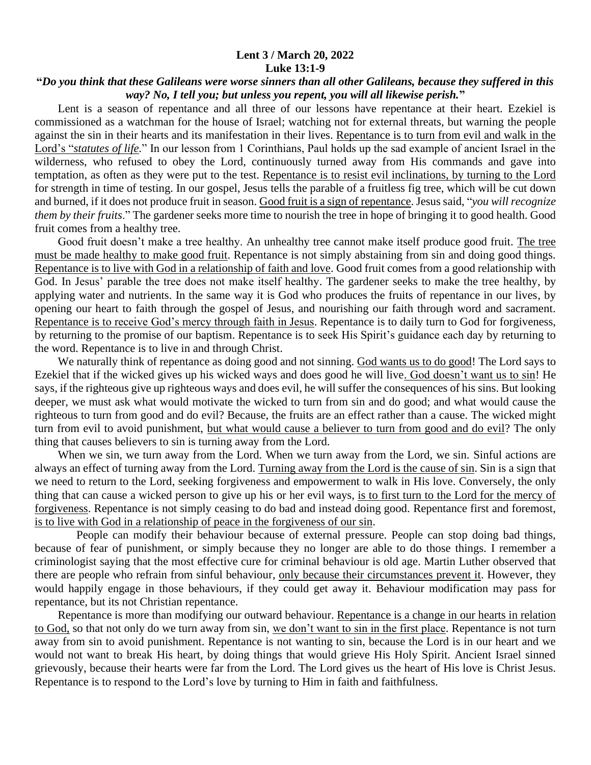## **Lent 3 / March 20, 2022 Luke 13:1-9**

## **"***Do you think that these Galileans were worse sinners than all other Galileans, because they suffered in this way? No, I tell you; but unless you repent, you will all likewise perish.***"**

 Lent is a season of repentance and all three of our lessons have repentance at their heart. Ezekiel is commissioned as a watchman for the house of Israel; watching not for external threats, but warning the people against the sin in their hearts and its manifestation in their lives. Repentance is to turn from evil and walk in the Lord's "*statutes of life.*" In our lesson from 1 Corinthians, Paul holds up the sad example of ancient Israel in the wilderness, who refused to obey the Lord, continuously turned away from His commands and gave into temptation, as often as they were put to the test. Repentance is to resist evil inclinations, by turning to the Lord for strength in time of testing. In our gospel, Jesus tells the parable of a fruitless fig tree, which will be cut down and burned, if it does not produce fruit in season. Good fruit is a sign of repentance. Jesus said, "*you will recognize them by their fruits*." The gardener seeks more time to nourish the tree in hope of bringing it to good health. Good fruit comes from a healthy tree.

 Good fruit doesn't make a tree healthy. An unhealthy tree cannot make itself produce good fruit. The tree must be made healthy to make good fruit. Repentance is not simply abstaining from sin and doing good things. Repentance is to live with God in a relationship of faith and love. Good fruit comes from a good relationship with God. In Jesus' parable the tree does not make itself healthy. The gardener seeks to make the tree healthy, by applying water and nutrients. In the same way it is God who produces the fruits of repentance in our lives, by opening our heart to faith through the gospel of Jesus, and nourishing our faith through word and sacrament. Repentance is to receive God's mercy through faith in Jesus. Repentance is to daily turn to God for forgiveness, by returning to the promise of our baptism. Repentance is to seek His Spirit's guidance each day by returning to the word. Repentance is to live in and through Christ.

 We naturally think of repentance as doing good and not sinning. God wants us to do good! The Lord says to Ezekiel that if the wicked gives up his wicked ways and does good he will live. God doesn't want us to sin! He says, if the righteous give up righteous ways and does evil, he will suffer the consequences of his sins. But looking deeper, we must ask what would motivate the wicked to turn from sin and do good; and what would cause the righteous to turn from good and do evil? Because, the fruits are an effect rather than a cause. The wicked might turn from evil to avoid punishment, but what would cause a believer to turn from good and do evil? The only thing that causes believers to sin is turning away from the Lord.

 When we sin, we turn away from the Lord. When we turn away from the Lord, we sin. Sinful actions are always an effect of turning away from the Lord. Turning away from the Lord is the cause of sin. Sin is a sign that we need to return to the Lord, seeking forgiveness and empowerment to walk in His love. Conversely, the only thing that can cause a wicked person to give up his or her evil ways, is to first turn to the Lord for the mercy of forgiveness. Repentance is not simply ceasing to do bad and instead doing good. Repentance first and foremost, is to live with God in a relationship of peace in the forgiveness of our sin.

 People can modify their behaviour because of external pressure. People can stop doing bad things, because of fear of punishment, or simply because they no longer are able to do those things. I remember a criminologist saying that the most effective cure for criminal behaviour is old age. Martin Luther observed that there are people who refrain from sinful behaviour, only because their circumstances prevent it. However, they would happily engage in those behaviours, if they could get away it. Behaviour modification may pass for repentance, but its not Christian repentance.

 Repentance is more than modifying our outward behaviour. Repentance is a change in our hearts in relation to God, so that not only do we turn away from sin, we don't want to sin in the first place. Repentance is not turn away from sin to avoid punishment. Repentance is not wanting to sin, because the Lord is in our heart and we would not want to break His heart, by doing things that would grieve His Holy Spirit. Ancient Israel sinned grievously, because their hearts were far from the Lord. The Lord gives us the heart of His love is Christ Jesus. Repentance is to respond to the Lord's love by turning to Him in faith and faithfulness.